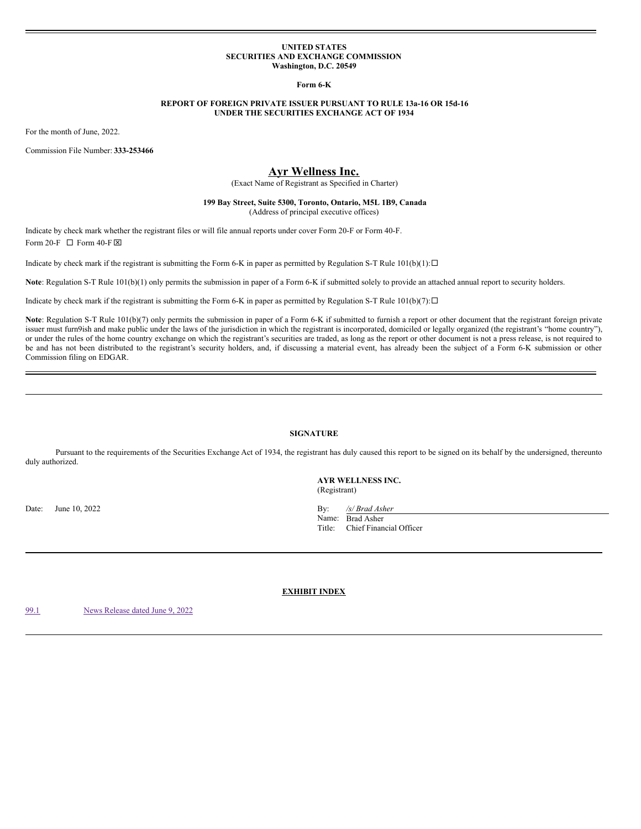### **UNITED STATES SECURITIES AND EXCHANGE COMMISSION Washington, D.C. 20549**

**Form 6-K**

## **REPORT OF FOREIGN PRIVATE ISSUER PURSUANT TO RULE 13a-16 OR 15d-16 UNDER THE SECURITIES EXCHANGE ACT OF 1934**

For the month of June, 2022.

Commission File Number: **333-253466**

# **Ayr Wellness Inc.**

(Exact Name of Registrant as Specified in Charter)

## **199 Bay Street, Suite 5300, Toronto, Ontario, M5L 1B9, Canada** (Address of principal executive offices)

Indicate by check mark whether the registrant files or will file annual reports under cover Form 20-F or Form 40-F. Form 20-F  $\Box$  Form 40-F  $\boxtimes$ 

Indicate by check mark if the registrant is submitting the Form 6-K in paper as permitted by Regulation S-T Rule  $101(b)(1): \Box$ 

**Note**: Regulation S-T Rule 101(b)(1) only permits the submission in paper of a Form 6-K if submitted solely to provide an attached annual report to security holders.

Indicate by check mark if the registrant is submitting the Form 6-K in paper as permitted by Regulation S-T Rule 101(b)(7): $\Box$ 

Note: Regulation S-T Rule 101(b)(7) only permits the submission in paper of a Form 6-K if submitted to furnish a report or other document that the registrant foreign private issuer must furn9ish and make public under the laws of the jurisdiction in which the registrant is incorporated, domiciled or legally organized (the registrant's "home country"), or under the rules of the home country exchange on which the registrant's securities are traded, as long as the report or other document is not a press release, is not required to be and has not been distributed to the registrant's security holders, and, if discussing a material event, has already been the subject of a Form 6-K submission or other Commission filing on EDGAR.

## **SIGNATURE**

Pursuant to the requirements of the Securities Exchange Act of 1934, the registrant has duly caused this report to be signed on its behalf by the undersigned, thereunto duly authorized.

> **AYR WELLNESS INC.** (Registrant)

Date: June 10, 2022 By: */s/ Brad Asher* Name: Brad Asher<br>Title: Chief Finan Chief Financial Officer

**EXHIBIT INDEX**

[99.1](#page-1-0) News [Release](#page-1-0) dated June 9, 2022